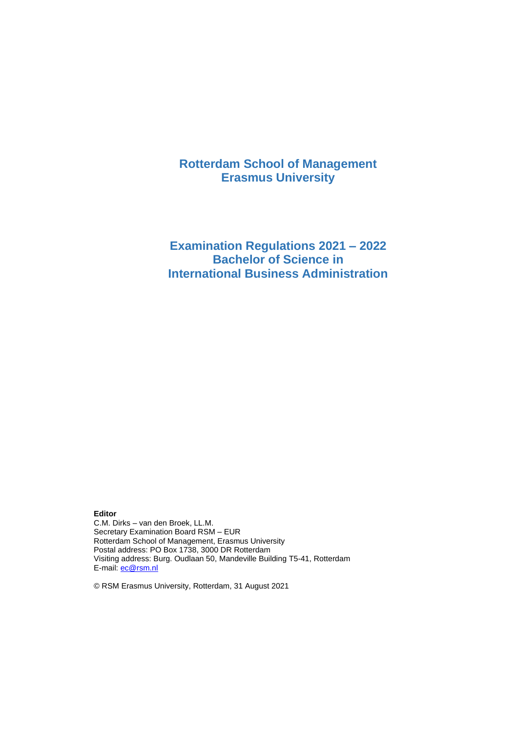# **Rotterdam School of Management Erasmus University**

# **Examination Regulations 2021 – 2022 Bachelor of Science in International Business Administration**

**Editor** C.M. Dirks – van den Broek, LL.M. Secretary Examination Board RSM – EUR Rotterdam School of Management, Erasmus University Postal address: PO Box 1738, 3000 DR Rotterdam Visiting address: Burg. Oudlaan 50, Mandeville Building T5-41, Rotterdam E-mail: [ec@rsm.nl](mailto:ec@rsm.nl)

© RSM Erasmus University, Rotterdam, 31 August 2021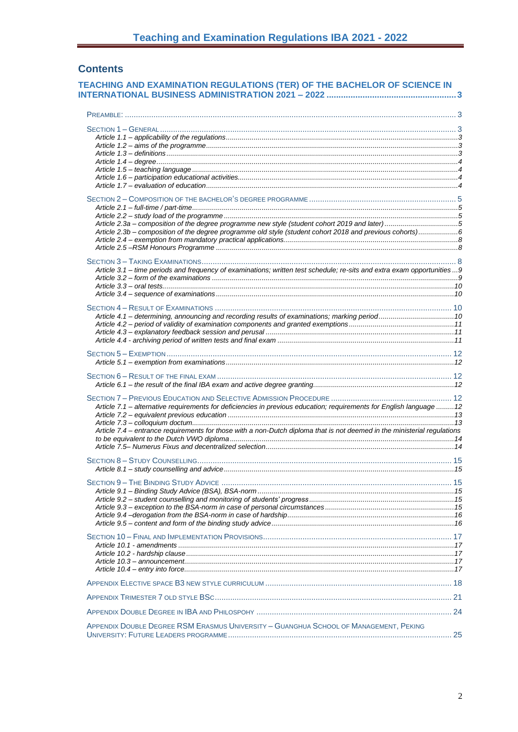# **Contents**

| TEACHING AND EXAMINATION REGULATIONS (TER) OF THE BACHELOR OF SCIENCE IN                                                       |    |
|--------------------------------------------------------------------------------------------------------------------------------|----|
|                                                                                                                                |    |
|                                                                                                                                |    |
|                                                                                                                                |    |
|                                                                                                                                |    |
|                                                                                                                                |    |
|                                                                                                                                |    |
|                                                                                                                                |    |
|                                                                                                                                |    |
|                                                                                                                                |    |
|                                                                                                                                |    |
|                                                                                                                                |    |
| Article 2.3a - composition of the degree programme new style (student cohort 2019 and later)5                                  |    |
| Article 2.3b - composition of the degree programme old style (student cohort 2018 and previous cohorts)6                       |    |
|                                                                                                                                |    |
|                                                                                                                                |    |
|                                                                                                                                |    |
| Article 3.1 - time periods and frequency of examinations; written test schedule; re-sits and extra exam opportunities9         |    |
|                                                                                                                                |    |
|                                                                                                                                |    |
|                                                                                                                                |    |
|                                                                                                                                |    |
|                                                                                                                                |    |
|                                                                                                                                |    |
|                                                                                                                                |    |
|                                                                                                                                |    |
|                                                                                                                                |    |
|                                                                                                                                |    |
|                                                                                                                                |    |
|                                                                                                                                |    |
|                                                                                                                                |    |
|                                                                                                                                |    |
| Article 7.1 - alternative requirements for deficiencies in previous education; requirements for English language  12           |    |
|                                                                                                                                |    |
| Article 7.4 - entrance requirements for those with a non-Dutch diploma that is not deemed in the ministerial regulations       |    |
|                                                                                                                                |    |
|                                                                                                                                |    |
|                                                                                                                                |    |
|                                                                                                                                |    |
|                                                                                                                                |    |
|                                                                                                                                |    |
|                                                                                                                                |    |
|                                                                                                                                |    |
|                                                                                                                                |    |
|                                                                                                                                |    |
|                                                                                                                                |    |
|                                                                                                                                |    |
|                                                                                                                                |    |
|                                                                                                                                |    |
|                                                                                                                                |    |
|                                                                                                                                |    |
|                                                                                                                                |    |
|                                                                                                                                |    |
|                                                                                                                                |    |
| APPENDIX DOUBLE DEGREE RSM ERASMUS UNIVERSITY - GUANGHUA SCHOOL OF MANAGEMENT, PEKING<br>HINIVERSITY: FUTURE LEADERS PROCRAMME | 25 |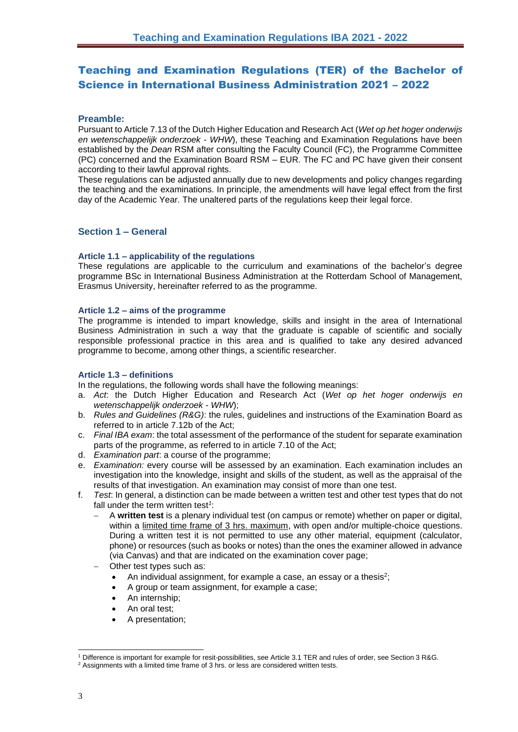# <span id="page-2-0"></span>Teaching and Examination Regulations (TER) of the Bachelor of Science in International Business Administration 2021 – 2022

# <span id="page-2-1"></span>**Preamble:**

Pursuant to Article 7.13 of the Dutch Higher Education and Research Act (*Wet op het hoger onderwijs en wetenschappelijk onderzoek* - *WHW*), these Teaching and Examination Regulations have been established by the *Dean* RSM after consulting the Faculty Council (FC), the Programme Committee (PC) concerned and the Examination Board RSM – EUR. The FC and PC have given their consent according to their lawful approval rights.

These regulations can be adjusted annually due to new developments and policy changes regarding the teaching and the examinations. In principle, the amendments will have legal effect from the first day of the Academic Year. The unaltered parts of the regulations keep their legal force.

# <span id="page-2-2"></span>**Section 1 – General**

## <span id="page-2-3"></span>**Article 1.1 – applicability of the regulations**

These regulations are applicable to the curriculum and examinations of the bachelor's degree programme BSc in International Business Administration at the Rotterdam School of Management, Erasmus University, hereinafter referred to as the programme.

### <span id="page-2-4"></span>**Article 1.2 – aims of the programme**

The programme is intended to impart knowledge, skills and insight in the area of International Business Administration in such a way that the graduate is capable of scientific and socially responsible professional practice in this area and is qualified to take any desired advanced programme to become, among other things, a scientific researcher.

## <span id="page-2-5"></span>**Article 1.3 – definitions**

In the regulations, the following words shall have the following meanings:

- a. *Act*: the Dutch Higher Education and Research Act (*Wet op het hoger onderwijs en wetenschappelijk onderzoek* - *WHW*);
- b. *Rules and Guidelines (R&G)*: the rules, guidelines and instructions of the Examination Board as referred to in article 7.12b of the Act;
- c. *Final IBA exam*: the total assessment of the performance of the student for separate examination parts of the programme, as referred to in article 7.10 of the Act;
- d. *Examination part*: a course of the programme;
- e. *Examination:* every course will be assessed by an examination. Each examination includes an investigation into the knowledge, insight and skills of the student, as well as the appraisal of the results of that investigation. An examination may consist of more than one test.
- f. *Test*: In general, a distinction can be made between a written test and other test types that do not fall under the term written test*<sup>1</sup>* :
	- − A **written test** is a plenary individual test (on campus or remote) whether on paper or digital, within a limited time frame of 3 hrs. maximum, with open and/or multiple-choice questions. During a written test it is not permitted to use any other material, equipment (calculator, phone) or resources (such as books or notes) than the ones the examiner allowed in advance (via Canvas) and that are indicated on the examination cover page;
	- Other test types such as:
		- An individual assignment, for example a case, an essay or a thesis<sup>2</sup>;
		- A group or team assignment, for example a case;
		- An internship:
		- An oral test;
		- A presentation;

<sup>1</sup> Difference is important for example for resit-possibilities, see Article 3.1 TER and rules of order, see Section 3 R&G.

<sup>&</sup>lt;sup>2</sup> Assignments with a limited time frame of 3 hrs. or less are considered written tests.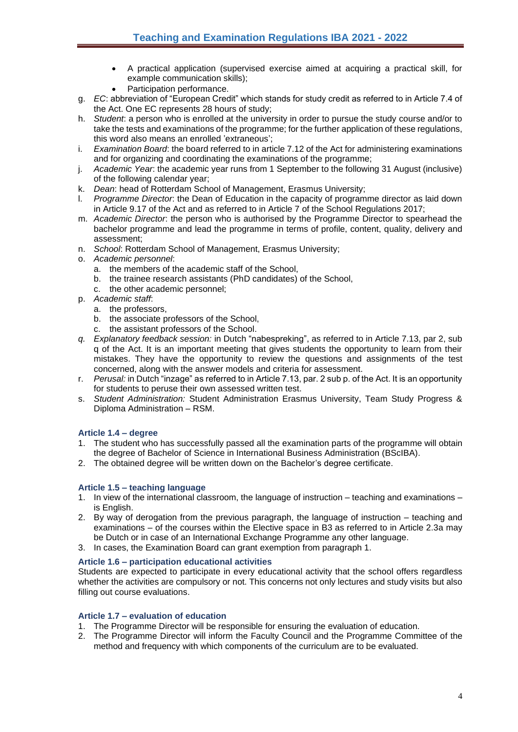- A practical application (supervised exercise aimed at acquiring a practical skill, for example communication skills);
- Participation performance.
- g. *EC*: abbreviation of "European Credit" which stands for study credit as referred to in Article 7.4 of the Act. One EC represents 28 hours of study;
- h. *Student*: a person who is enrolled at the university in order to pursue the study course and/or to take the tests and examinations of the programme; for the further application of these regulations, this word also means an enrolled 'extraneous';
- i. *Examination Board*: the board referred to in article 7.12 of the Act for administering examinations and for organizing and coordinating the examinations of the programme;
- j. *Academic Year*: the academic year runs from 1 September to the following 31 August (inclusive) of the following calendar year;
- k. *Dean*: head of Rotterdam School of Management, Erasmus University;
- l. *Programme Director*: the Dean of Education in the capacity of programme director as laid down in Article 9.17 of the Act and as referred to in Article 7 of the School Regulations 2017;
- m. *Academic Director*: the person who is authorised by the Programme Director to spearhead the bachelor programme and lead the programme in terms of profile, content, quality, delivery and assessment;
- n. *School*: Rotterdam School of Management, Erasmus University;
- o. *Academic personnel*:
	- a. the members of the academic staff of the School,
	- b. the trainee research assistants (PhD candidates) of the School,
	- c. the other academic personnel;
- p. *Academic staff*:
	- a. the professors,
	- b. the associate professors of the School,
	- c. the assistant professors of the School.
- *q. Explanatory feedback session:* in Dutch "nabespreking", as referred to in Article 7.13, par 2, sub q of the Act. It is an important meeting that gives students the opportunity to learn from their mistakes. They have the opportunity to review the questions and assignments of the test concerned, along with the answer models and criteria for assessment.
- r. *Perusal:* in Dutch "inzage" as referred to in Article 7.13, par. 2 sub p. of the Act. It is an opportunity for students to peruse their own assessed written test.
- s. *Student Administration:* Student Administration Erasmus University, Team Study Progress & Diploma Administration – RSM.

# <span id="page-3-0"></span>**Article 1.4 – degree**

- 1. The student who has successfully passed all the examination parts of the programme will obtain the degree of Bachelor of Science in International Business Administration (BScIBA).
- 2. The obtained degree will be written down on the Bachelor's degree certificate.

## <span id="page-3-1"></span>**Article 1.5 – teaching language**

- 1. In view of the international classroom, the language of instruction teaching and examinations is English.
- 2. By way of derogation from the previous paragraph, the language of instruction teaching and examinations – of the courses within the Elective space in B3 as referred to in Article 2.3a may be Dutch or in case of an International Exchange Programme any other language.
- 3. In cases, the Examination Board can grant exemption from paragraph 1.

## <span id="page-3-2"></span>**Article 1.6 – participation educational activities**

Students are expected to participate in every educational activity that the school offers regardless whether the activities are compulsory or not. This concerns not only lectures and study visits but also filling out course evaluations.

# <span id="page-3-3"></span>**Article 1.7 – evaluation of education**

- 1. The Programme Director will be responsible for ensuring the evaluation of education.
- 2. The Programme Director will inform the Faculty Council and the Programme Committee of the method and frequency with which components of the curriculum are to be evaluated.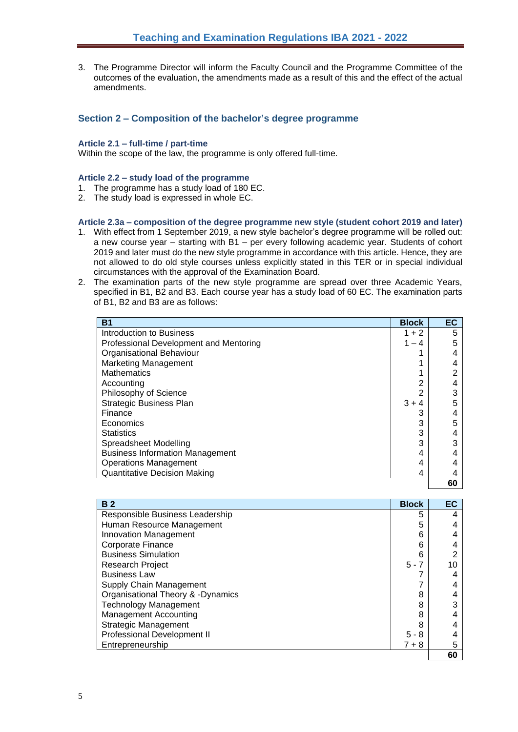3. The Programme Director will inform the Faculty Council and the Programme Committee of the outcomes of the evaluation, the amendments made as a result of this and the effect of the actual amendments.

# <span id="page-4-0"></span>**Section 2 – Composition of the bachelor's degree programme**

#### <span id="page-4-1"></span>**Article 2.1 – full-time / part-time**

Within the scope of the law, the programme is only offered full-time.

### <span id="page-4-2"></span>**Article 2.2 – study load of the programme**

- 1. The programme has a study load of 180 EC.
- 2. The study load is expressed in whole EC.

#### <span id="page-4-3"></span>**Article 2.3a – composition of the degree programme new style (student cohort 2019 and later)**

- 1. With effect from 1 September 2019, a new style bachelor's degree programme will be rolled out: a new course year – starting with B1 – per every following academic year. Students of cohort 2019 and later must do the new style programme in accordance with this article. Hence, they are not allowed to do old style courses unless explicitly stated in this TER or in special individual circumstances with the approval of the Examination Board.
- 2. The examination parts of the new style programme are spread over three Academic Years, specified in B1, B2 and B3. Each course year has a study load of 60 EC. The examination parts of B1, B2 and B3 are as follows:

| <b>B1</b>                              | <b>Block</b> | EC |
|----------------------------------------|--------------|----|
| Introduction to Business               | $1 + 2$      | 5  |
| Professional Development and Mentoring | $1 - 4$      | 5  |
| Organisational Behaviour               |              |    |
| <b>Marketing Management</b>            |              |    |
| <b>Mathematics</b>                     |              |    |
| Accounting                             | 2            |    |
| Philosophy of Science                  | 2            |    |
| <b>Strategic Business Plan</b>         | $3 + 4$      |    |
| Finance                                | 3            |    |
| Economics                              | 3            | 5  |
| <b>Statistics</b>                      | 3            |    |
| Spreadsheet Modelling                  | 3            |    |
| <b>Business Information Management</b> | 4            |    |
| <b>Operations Management</b>           | 4            |    |
| <b>Quantitative Decision Making</b>    | 4            |    |
|                                        |              | 60 |

| <b>B2</b>                         | <b>Block</b> | EC |
|-----------------------------------|--------------|----|
| Responsible Business Leadership   | 5            |    |
| Human Resource Management         | 5            |    |
| <b>Innovation Management</b>      | 6            |    |
| <b>Corporate Finance</b>          | 6            |    |
| <b>Business Simulation</b>        | 6            |    |
| <b>Research Project</b>           | $5 - 7$      |    |
| <b>Business Law</b>               |              |    |
| Supply Chain Management           |              |    |
| Organisational Theory & -Dynamics | 8            |    |
| <b>Technology Management</b>      | 8            |    |
| <b>Management Accounting</b>      | 8            |    |
| <b>Strategic Management</b>       | 8            |    |
| Professional Development II       | $5 - 8$      |    |
| Entrepreneurship                  | $7 + 8$      | 5  |
|                                   |              | 60 |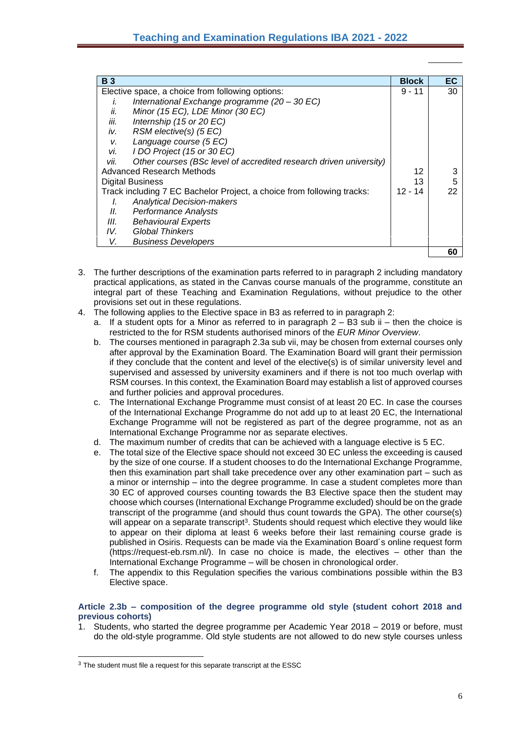| <b>B</b> 3 |                                                                        | <b>Block</b> | ЕC |
|------------|------------------------------------------------------------------------|--------------|----|
|            | Elective space, a choice from following options:                       | $9 - 11$     | 30 |
| Ī.         | International Exchange programme (20 - 30 EC)                          |              |    |
| ii.        | Minor (15 EC), LDE Minor (30 EC)                                       |              |    |
| iii.       | Internship (15 or 20 EC)                                               |              |    |
| iv.        | RSM elective(s) (5 EC)                                                 |              |    |
| V.         | Language course (5 EC)                                                 |              |    |
| vi.        | I DO Project (15 or 30 EC)                                             |              |    |
| vii.       | Other courses (BSc level of accredited research driven university)     |              |    |
|            | Advanced Research Methods                                              | 12           | 3  |
|            | Digital Business                                                       | 13           | 5  |
|            | Track including 7 EC Bachelor Project, a choice from following tracks: | $12 - 14$    | 22 |
| I.         | <b>Analytical Decision-makers</b>                                      |              |    |
| II.        | <b>Performance Analysts</b>                                            |              |    |
| III.       | Behavioural Experts                                                    |              |    |
| IV.        | Global Thinkers                                                        |              |    |
| V.         | <b>Business Developers</b>                                             |              |    |
|            |                                                                        |              | 60 |

- 3. The further descriptions of the examination parts referred to in paragraph 2 including mandatory practical applications, as stated in the Canvas course manuals of the programme, constitute an integral part of these Teaching and Examination Regulations, without prejudice to the other provisions set out in these regulations.
- 4. The following applies to the Elective space in B3 as referred to in paragraph 2:
	- a. If a student opts for a Minor as referred to in paragraph  $2 B3$  sub ii then the choice is restricted to the for RSM students authorised minors of the *EUR Minor Overview*.
	- b. The courses mentioned in paragraph 2.3a sub vii, may be chosen from external courses only after approval by the Examination Board. The Examination Board will grant their permission if they conclude that the content and level of the elective(s) is of similar university level and supervised and assessed by university examiners and if there is not too much overlap with RSM courses. In this context, the Examination Board may establish a list of approved courses and further policies and approval procedures.
	- c. The International Exchange Programme must consist of at least 20 EC. In case the courses of the International Exchange Programme do not add up to at least 20 EC, the International Exchange Programme will not be registered as part of the degree programme, not as an International Exchange Programme nor as separate electives.
	- d. The maximum number of credits that can be achieved with a language elective is 5 EC.
	- e. The total size of the Elective space should not exceed 30 EC unless the exceeding is caused by the size of one course. If a student chooses to do the International Exchange Programme, then this examination part shall take precedence over any other examination part – such as a minor or internship – into the degree programme. In case a student completes more than 30 EC of approved courses counting towards the B3 Elective space then the student may choose which courses (International Exchange Programme excluded) should be on the grade transcript of the programme (and should thus count towards the GPA). The other course(s) will appear on a separate transcript<sup>3</sup>. Students should request which elective they would like to appear on their diploma at least 6 weeks before their last remaining course grade is published in Osiris. Requests can be made via the Examination Board´s online request form (https://request-eb.rsm.nl/). In case no choice is made, the electives – other than the International Exchange Programme – will be chosen in chronological order.
	- f. The appendix to this Regulation specifies the various combinations possible within the B3 Elective space.

### <span id="page-5-0"></span>**Article 2.3b – composition of the degree programme old style (student cohort 2018 and previous cohorts)**

1. Students, who started the degree programme per Academic Year 2018 – 2019 or before, must do the old-style programme. Old style students are not allowed to do new style courses unless

 $3$  The student must file a request for this separate transcript at the ESSC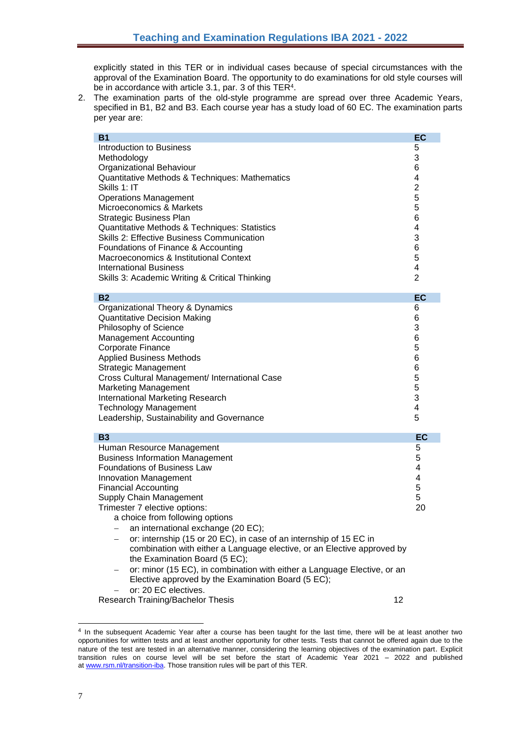explicitly stated in this TER or in individual cases because of special circumstances with the approval of the Examination Board. The opportunity to do examinations for old style courses will be in accordance with article 3.1, par. 3 of this TER<sup>4</sup>.

2. The examination parts of the old-style programme are spread over three Academic Years, specified in B1, B2 and B3. Each course year has a study load of 60 EC. The examination parts per year are:

| <b>B1</b>                                                                | <b>EC</b>      |
|--------------------------------------------------------------------------|----------------|
| Introduction to Business                                                 | 5              |
| Methodology                                                              | 3              |
| Organizational Behaviour                                                 | 6              |
| Quantitative Methods & Techniques: Mathematics                           | 4              |
| Skills 1: IT                                                             | $\overline{2}$ |
| <b>Operations Management</b>                                             | 5              |
| Microeconomics & Markets                                                 | 5              |
| <b>Strategic Business Plan</b>                                           | 6              |
| Quantitative Methods & Techniques: Statistics                            | 4              |
| Skills 2: Effective Business Communication                               | 3              |
| Foundations of Finance & Accounting                                      | 6              |
| Macroeconomics & Institutional Context                                   | 5              |
| <b>International Business</b>                                            | 4              |
| Skills 3: Academic Writing & Critical Thinking                           | $\overline{2}$ |
|                                                                          |                |
| <b>B2</b>                                                                | <b>EC</b>      |
| Organizational Theory & Dynamics                                         | 6              |
| <b>Quantitative Decision Making</b>                                      | 6              |
| Philosophy of Science                                                    | 3              |
| <b>Management Accounting</b>                                             | 6              |
| Corporate Finance                                                        | 5              |
| <b>Applied Business Methods</b>                                          | 6              |
| <b>Strategic Management</b>                                              | 6              |
| Cross Cultural Management/ International Case                            | 5              |
| <b>Marketing Management</b>                                              | 5              |
| International Marketing Research                                         | 3              |
| <b>Technology Management</b>                                             | 4              |
| Leadership, Sustainability and Governance                                | 5              |
| <b>B3</b>                                                                | EC             |
| Human Resource Management                                                | 5              |
| <b>Business Information Management</b>                                   | 5              |
| <b>Foundations of Business Law</b>                                       | 4              |
| <b>Innovation Management</b>                                             | 4              |
| <b>Financial Accounting</b>                                              | 5              |
| <b>Supply Chain Management</b>                                           | 5              |
| Trimester 7 elective options:                                            | 20             |
| a choice from following options                                          |                |
| an international exchange (20 EC);                                       |                |
| or: internship (15 or 20 EC), in case of an internship of 15 EC in       |                |
| combination with either a Language elective, or an Elective approved by  |                |
| the Examination Board (5 EC);                                            |                |
| or: minor (15 EC), in combination with either a Language Elective, or an |                |
| Elective approved by the Examination Board (5 EC);                       |                |
| or: 20 EC electives.                                                     |                |
| Research Training/Bachelor Thesis                                        | 12             |

<sup>&</sup>lt;sup>4</sup> In the subsequent Academic Year after a course has been taught for the last time, there will be at least another two opportunities for written tests and at least another opportunity for other tests. Tests that cannot be offered again due to the nature of the test are tested in an alternative manner, considering the learning objectives of the examination part. Explicit transition rules on course level will be set before the start of Academic Year 2021 – 2022 and published at [www.rsm.nl/transition-iba.](http://www.rsm.nl/transition-iba) Those transition rules will be part of this TER.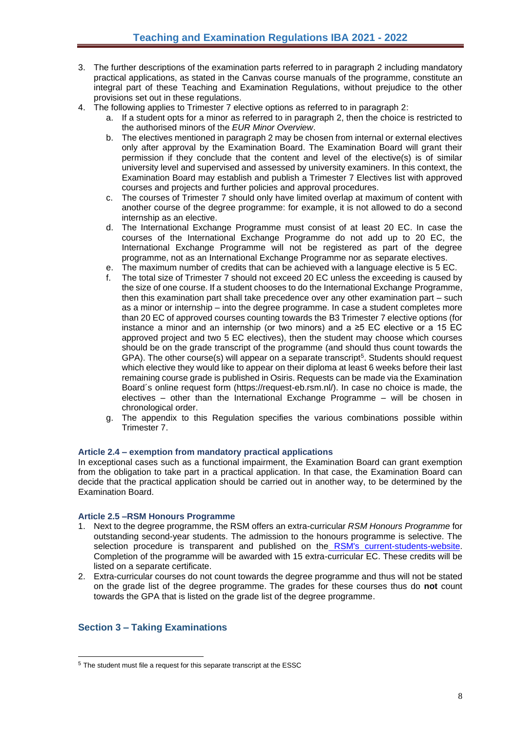- 3. The further descriptions of the examination parts referred to in paragraph 2 including mandatory practical applications, as stated in the Canvas course manuals of the programme, constitute an integral part of these Teaching and Examination Regulations, without prejudice to the other provisions set out in these regulations.
- 4. The following applies to Trimester 7 elective options as referred to in paragraph 2:
	- a. If a student opts for a minor as referred to in paragraph 2, then the choice is restricted to the authorised minors of the *EUR Minor Overview*.
	- b. The electives mentioned in paragraph 2 may be chosen from internal or external electives only after approval by the Examination Board. The Examination Board will grant their permission if they conclude that the content and level of the elective(s) is of similar university level and supervised and assessed by university examiners. In this context, the Examination Board may establish and publish a Trimester 7 Electives list with approved courses and projects and further policies and approval procedures.
	- c. The courses of Trimester 7 should only have limited overlap at maximum of content with another course of the degree programme: for example, it is not allowed to do a second internship as an elective.
	- d. The International Exchange Programme must consist of at least 20 EC. In case the courses of the International Exchange Programme do not add up to 20 EC, the International Exchange Programme will not be registered as part of the degree programme, not as an International Exchange Programme nor as separate electives.
	- e. The maximum number of credits that can be achieved with a language elective is 5 EC.
	- f. The total size of Trimester 7 should not exceed 20 EC unless the exceeding is caused by the size of one course. If a student chooses to do the International Exchange Programme, then this examination part shall take precedence over any other examination part – such as a minor or internship – into the degree programme. In case a student completes more than 20 EC of approved courses counting towards the B3 Trimester 7 elective options (for instance a minor and an internship (or two minors) and a ≥5 EC elective or a 15 EC approved project and two 5 EC electives), then the student may choose which courses should be on the grade transcript of the programme (and should thus count towards the GPA). The other course(s) will appear on a separate transcript<sup>5</sup>. Students should request which elective they would like to appear on their diploma at least 6 weeks before their last remaining course grade is published in Osiris. Requests can be made via the Examination Board´s online request form (https://request-eb.rsm.nl/). In case no choice is made, the electives – other than the International Exchange Programme – will be chosen in chronological order.
	- g. The appendix to this Regulation specifies the various combinations possible within Trimester 7.

## <span id="page-7-0"></span>**Article 2.4 – exemption from mandatory practical applications**

In exceptional cases such as a functional impairment, the Examination Board can grant exemption from the obligation to take part in a practical application. In that case, the Examination Board can decide that the practical application should be carried out in another way, to be determined by the Examination Board.

## <span id="page-7-1"></span>**Article 2.5 –RSM Honours Programme**

- 1. Next to the degree programme, the RSM offers an extra-curricular *RSM Honours Programme* for outstanding second-year students. The admission to the honours programme is selective. The selection procedure is transparent and published on the [RSM's current-students-website.](http://www.rsm.nl/bachelor/current-students/current-bachelor-iba-students/bachelor-2/rsm-honours-programme/) Completion of the programme will be awarded with 15 extra-curricular EC. These credits will be listed on a separate certificate.
- 2. Extra-curricular courses do not count towards the degree programme and thus will not be stated on the grade list of the degree programme. The grades for these courses thus do **not** count towards the GPA that is listed on the grade list of the degree programme.

# <span id="page-7-2"></span>**Section 3 – Taking Examinations**

<sup>5</sup> The student must file a request for this separate transcript at the ESSC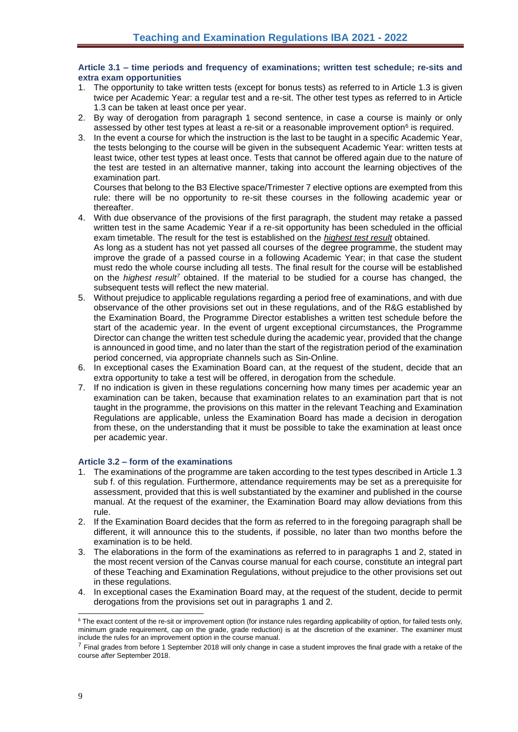### <span id="page-8-0"></span>**Article 3.1 – time periods and frequency of examinations; written test schedule; re-sits and extra exam opportunities**

- 1. The opportunity to take written tests (except for bonus tests) as referred to in Article 1.3 is given twice per Academic Year: a regular test and a re-sit. The other test types as referred to in Article 1.3 can be taken at least once per year.
- 2. By way of derogation from paragraph 1 second sentence, in case a course is mainly or only assessed by other test types at least a re-sit or a reasonable improvement option<sup>6</sup> is required.
- 3. In the event a course for which the instruction is the last to be taught in a specific Academic Year, the tests belonging to the course will be given in the subsequent Academic Year: written tests at least twice, other test types at least once. Tests that cannot be offered again due to the nature of the test are tested in an alternative manner, taking into account the learning objectives of the examination part.

Courses that belong to the B3 Elective space/Trimester 7 elective options are exempted from this rule: there will be no opportunity to re-sit these courses in the following academic year or thereafter.

- 4. With due observance of the provisions of the first paragraph, the student may retake a passed written test in the same Academic Year if a re-sit opportunity has been scheduled in the official exam timetable. The result for the test is established on the *highest test result* obtained. As long as a student has not yet passed all courses of the degree programme, the student may improve the grade of a passed course in a following Academic Year; in that case the student must redo the whole course including all tests. The final result for the course will be established on the *highest result<sup>7</sup>* obtained. If the material to be studied for a course has changed, the subsequent tests will reflect the new material.
- 5. Without prejudice to applicable regulations regarding a period free of examinations, and with due observance of the other provisions set out in these regulations, and of the R&G established by the Examination Board, the Programme Director establishes a written test schedule before the start of the academic year. In the event of urgent exceptional circumstances, the Programme Director can change the written test schedule during the academic year, provided that the change is announced in good time, and no later than the start of the registration period of the examination period concerned, via appropriate channels such as Sin-Online.
- 6. In exceptional cases the Examination Board can, at the request of the student, decide that an extra opportunity to take a test will be offered, in derogation from the schedule.
- 7. If no indication is given in these regulations concerning how many times per academic year an examination can be taken, because that examination relates to an examination part that is not taught in the programme, the provisions on this matter in the relevant Teaching and Examination Regulations are applicable, unless the Examination Board has made a decision in derogation from these, on the understanding that it must be possible to take the examination at least once per academic year.

## <span id="page-8-1"></span>**Article 3.2 – form of the examinations**

- 1. The examinations of the programme are taken according to the test types described in Article 1.3 sub f. of this regulation. Furthermore, attendance requirements may be set as a prerequisite for assessment, provided that this is well substantiated by the examiner and published in the course manual. At the request of the examiner, the Examination Board may allow deviations from this rule.
- 2. If the Examination Board decides that the form as referred to in the foregoing paragraph shall be different, it will announce this to the students, if possible, no later than two months before the examination is to be held.
- 3. The elaborations in the form of the examinations as referred to in paragraphs 1 and 2, stated in the most recent version of the Canvas course manual for each course, constitute an integral part of these Teaching and Examination Regulations, without prejudice to the other provisions set out in these regulations.
- 4. In exceptional cases the Examination Board may, at the request of the student, decide to permit derogations from the provisions set out in paragraphs 1 and 2.

<sup>&</sup>lt;sup>6</sup> The exact content of the re-sit or improvement option (for instance rules regarding applicability of option, for failed tests only, minimum grade requirement, cap on the grade, grade reduction) is at the discretion of the examiner. The examiner must include the rules for an improvement option in the course manual.

<sup>&</sup>lt;sup>7</sup> Final grades from before 1 September 2018 will only change in case a student improves the final grade with a retake of the course *after* September 2018.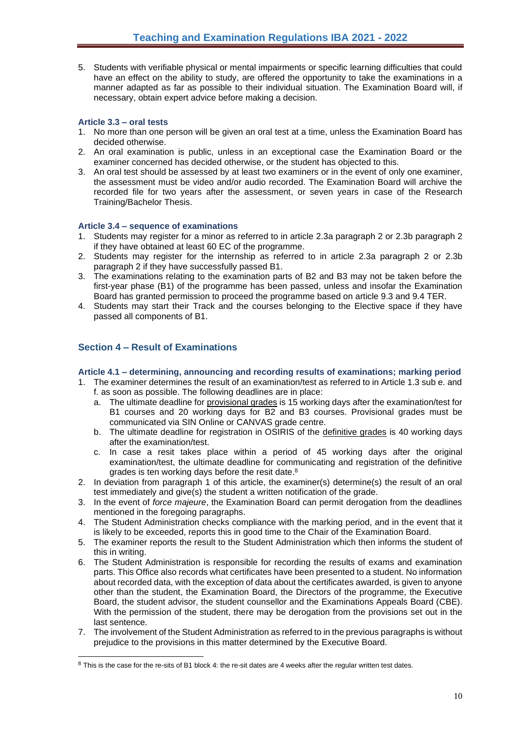5. Students with verifiable physical or mental impairments or specific learning difficulties that could have an effect on the ability to study, are offered the opportunity to take the examinations in a manner adapted as far as possible to their individual situation. The Examination Board will, if necessary, obtain expert advice before making a decision.

# <span id="page-9-0"></span>**Article 3.3 – oral tests**

- 1. No more than one person will be given an oral test at a time, unless the Examination Board has decided otherwise.
- 2. An oral examination is public, unless in an exceptional case the Examination Board or the examiner concerned has decided otherwise, or the student has objected to this.
- 3. An oral test should be assessed by at least two examiners or in the event of only one examiner, the assessment must be video and/or audio recorded. The Examination Board will archive the recorded file for two years after the assessment, or seven years in case of the Research Training/Bachelor Thesis.

# <span id="page-9-1"></span>**Article 3.4 – sequence of examinations**

- 1. Students may register for a minor as referred to in article 2.3a paragraph 2 or 2.3b paragraph 2 if they have obtained at least 60 EC of the programme.
- 2. Students may register for the internship as referred to in article 2.3a paragraph 2 or 2.3b paragraph 2 if they have successfully passed B1.
- 3. The examinations relating to the examination parts of B2 and B3 may not be taken before the first-year phase (B1) of the programme has been passed, unless and insofar the Examination Board has granted permission to proceed the programme based on article 9.3 and 9.4 TER.
- 4. Students may start their Track and the courses belonging to the Elective space if they have passed all components of B1.

# <span id="page-9-2"></span>**Section 4 – Result of Examinations**

## <span id="page-9-3"></span>**Article 4.1 – determining, announcing and recording results of examinations; marking period**

- 1. The examiner determines the result of an examination/test as referred to in Article 1.3 sub e. and f. as soon as possible. The following deadlines are in place:
	- a. The ultimate deadline for provisional grades is 15 working days after the examination/test for B1 courses and 20 working days for B2 and B3 courses. Provisional grades must be communicated via SIN Online or CANVAS grade centre.
	- b. The ultimate deadline for registration in OSIRIS of the definitive grades is 40 working days after the examination/test.
	- c. In case a resit takes place within a period of 45 working days after the original examination/test, the ultimate deadline for communicating and registration of the definitive grades is ten working days before the resit date.<sup>8</sup>
- 2. In deviation from paragraph 1 of this article, the examiner(s) determine(s) the result of an oral test immediately and give(s) the student a written notification of the grade.
- 3. In the event of *force majeure*, the Examination Board can permit derogation from the deadlines mentioned in the foregoing paragraphs.
- 4. The Student Administration checks compliance with the marking period, and in the event that it is likely to be exceeded, reports this in good time to the Chair of the Examination Board.
- 5. The examiner reports the result to the Student Administration which then informs the student of this in writing.
- 6. The Student Administration is responsible for recording the results of exams and examination parts. This Office also records what certificates have been presented to a student. No information about recorded data, with the exception of data about the certificates awarded, is given to anyone other than the student, the Examination Board, the Directors of the programme, the Executive Board, the student advisor, the student counsellor and the Examinations Appeals Board (CBE). With the permission of the student, there may be derogation from the provisions set out in the last sentence.
- 7. The involvement of the Student Administration as referred to in the previous paragraphs is without prejudice to the provisions in this matter determined by the Executive Board.

 $8$  This is the case for the re-sits of B1 block 4: the re-sit dates are 4 weeks after the regular written test dates.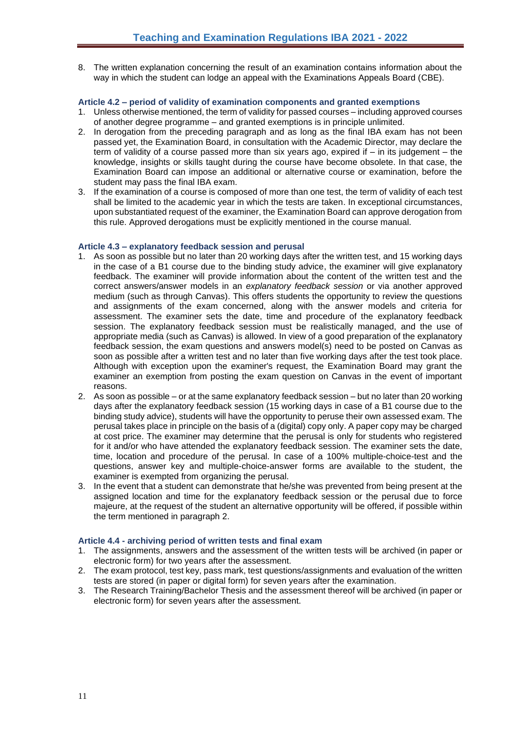8. The written explanation concerning the result of an examination contains information about the way in which the student can lodge an appeal with the Examinations Appeals Board (CBE).

# <span id="page-10-0"></span>**Article 4.2 – period of validity of examination components and granted exemptions**

- 1. Unless otherwise mentioned, the term of validity for passed courses including approved courses of another degree programme – and granted exemptions is in principle unlimited.
- 2. In derogation from the preceding paragraph and as long as the final IBA exam has not been passed yet, the Examination Board, in consultation with the Academic Director, may declare the term of validity of a course passed more than six years ago, expired if – in its judgement – the knowledge, insights or skills taught during the course have become obsolete. In that case, the Examination Board can impose an additional or alternative course or examination, before the student may pass the final IBA exam.
- 3. If the examination of a course is composed of more than one test, the term of validity of each test shall be limited to the academic year in which the tests are taken. In exceptional circumstances, upon substantiated request of the examiner, the Examination Board can approve derogation from this rule. Approved derogations must be explicitly mentioned in the course manual.

## <span id="page-10-1"></span>**Article 4.3 – explanatory feedback session and perusal**

- 1. As soon as possible but no later than 20 working days after the written test, and 15 working days in the case of a B1 course due to the binding study advice, the examiner will give explanatory feedback. The examiner will provide information about the content of the written test and the correct answers/answer models in an *explanatory feedback session* or via another approved medium (such as through Canvas). This offers students the opportunity to review the questions and assignments of the exam concerned, along with the answer models and criteria for assessment. The examiner sets the date, time and procedure of the explanatory feedback session. The explanatory feedback session must be realistically managed, and the use of appropriate media (such as Canvas) is allowed. In view of a good preparation of the explanatory feedback session, the exam questions and answers model(s) need to be posted on Canvas as soon as possible after a written test and no later than five working days after the test took place. Although with exception upon the examiner's request, the Examination Board may grant the examiner an exemption from posting the exam question on Canvas in the event of important reasons.
- 2. As soon as possible or at the same explanatory feedback session but no later than 20 working days after the explanatory feedback session (15 working days in case of a B1 course due to the binding study advice), students will have the opportunity to peruse their own assessed exam. The perusal takes place in principle on the basis of a (digital) copy only. A paper copy may be charged at cost price. The examiner may determine that the perusal is only for students who registered for it and/or who have attended the explanatory feedback session. The examiner sets the date, time, location and procedure of the perusal. In case of a 100% multiple-choice-test and the questions, answer key and multiple-choice-answer forms are available to the student, the examiner is exempted from organizing the perusal.
- 3. In the event that a student can demonstrate that he/she was prevented from being present at the assigned location and time for the explanatory feedback session or the perusal due to force majeure, at the request of the student an alternative opportunity will be offered, if possible within the term mentioned in paragraph 2.

## <span id="page-10-2"></span>**Article 4.4 - archiving period of written tests and final exam**

- 1. The assignments, answers and the assessment of the written tests will be archived (in paper or electronic form) for two years after the assessment.
- 2. The exam protocol, test key, pass mark, test questions/assignments and evaluation of the written tests are stored (in paper or digital form) for seven years after the examination.
- 3. The Research Training/Bachelor Thesis and the assessment thereof will be archived (in paper or electronic form) for seven years after the assessment.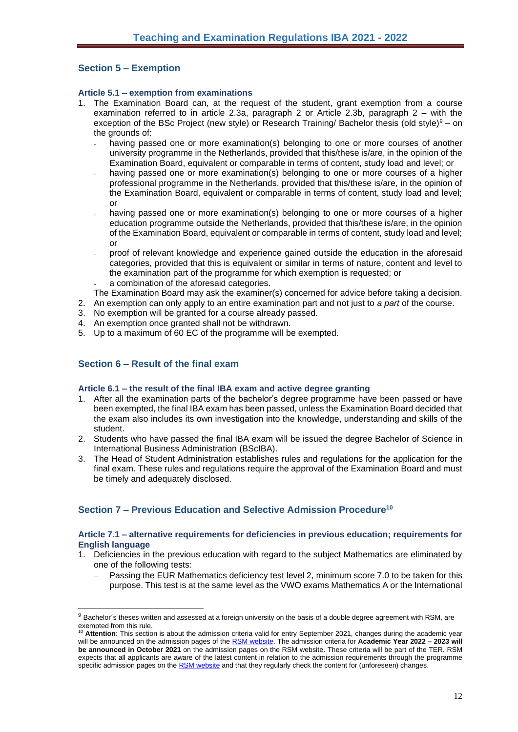# <span id="page-11-0"></span>**Section 5 – Exemption**

### <span id="page-11-1"></span>**Article 5.1 – exemption from examinations**

- 1. The Examination Board can, at the request of the student, grant exemption from a course examination referred to in article 2.3a, paragraph 2 or Article 2.3b, paragraph 2 – with the exception of the BSc Project (new style) or Research Training/ Bachelor thesis (old style) $9 -$ on the grounds of:
	- having passed one or more examination(s) belonging to one or more courses of another university programme in the Netherlands, provided that this/these is/are, in the opinion of the Examination Board, equivalent or comparable in terms of content, study load and level; or
	- having passed one or more examination(s) belonging to one or more courses of a higher professional programme in the Netherlands, provided that this/these is/are, in the opinion of the Examination Board, equivalent or comparable in terms of content, study load and level; or
	- having passed one or more examination(s) belonging to one or more courses of a higher education programme outside the Netherlands, provided that this/these is/are, in the opinion of the Examination Board, equivalent or comparable in terms of content, study load and level; or
	- proof of relevant knowledge and experience gained outside the education in the aforesaid categories, provided that this is equivalent or similar in terms of nature, content and level to the examination part of the programme for which exemption is requested; or
	- a combination of the aforesaid categories.

The Examination Board may ask the examiner(s) concerned for advice before taking a decision.

- 2. An exemption can only apply to an entire examination part and not just to *a part* of the course.
- 3. No exemption will be granted for a course already passed.
- 4. An exemption once granted shall not be withdrawn.
- 5. Up to a maximum of 60 EC of the programme will be exempted.

# <span id="page-11-2"></span>**Section 6 – Result of the final exam**

## <span id="page-11-3"></span>**Article 6.1 – the result of the final IBA exam and active degree granting**

- 1. After all the examination parts of the bachelor's degree programme have been passed or have been exempted, the final IBA exam has been passed, unless the Examination Board decided that the exam also includes its own investigation into the knowledge, understanding and skills of the student.
- 2. Students who have passed the final IBA exam will be issued the degree Bachelor of Science in International Business Administration (BScIBA).
- 3. The Head of Student Administration establishes rules and regulations for the application for the final exam. These rules and regulations require the approval of the Examination Board and must be timely and adequately disclosed.

# <span id="page-11-4"></span>**Section 7 – Previous Education and Selective Admission Procedure<sup>10</sup>**

#### <span id="page-11-5"></span>**Article 7.1 – alternative requirements for deficiencies in previous education; requirements for English language**

- 1. Deficiencies in the previous education with regard to the subject Mathematics are eliminated by one of the following tests:
	- Passing the EUR Mathematics deficiency test level 2, minimum score 7.0 to be taken for this purpose. This test is at the same level as the VWO exams Mathematics A or the International

<sup>9</sup> Bachelor´s theses written and assessed at a foreign university on the basis of a double degree agreement with RSM, are exempted from this rule.

<sup>&</sup>lt;sup>10</sup> Attention: This section is about the admission criteria valid for entry September 2021, changes during the academic year will be announced on the admission pages of the [RSM website.](https://www.rsm.nl/bachelor/international-business-administration/admission-application/) The admission criteria for **Academic Year 2022 – 2023 will be announced in October 2021** on the admission pages on the RSM website. These criteria will be part of the TER. RSM expects that all applicants are aware of the latest content in relation to the admission requirements through the programme specific admission pages on th[e RSM website](https://www.rsm.nl/bachelor/international-business-administration/admission-application/) and that they regularly check the content for (unforeseen) changes.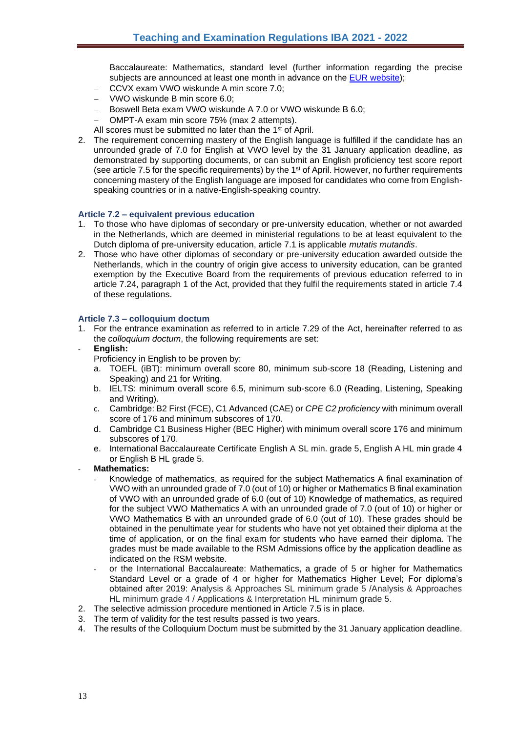Baccalaureate: Mathematics, standard level (further information regarding the precise subjects are announced at least one month in advance on the [EUR website\)](https://www.eur.nl/en/education/practical-matters/admission/mathematics-deficiency-exam#Overview-required-knowledge);

- − CCVX exam VWO wiskunde A min score 7.0;
- − VWO wiskunde B min score 6.0;
- − Boswell Beta exam VWO wiskunde A 7.0 or VWO wiskunde B 6.0;
- − OMPT-A exam min score 75% (max 2 attempts).
- All scores must be submitted no later than the 1<sup>st</sup> of April.
- 2. The requirement concerning mastery of the English language is fulfilled if the candidate has an unrounded grade of 7.0 for English at VWO level by the 31 January application deadline, as demonstrated by supporting documents, or can submit an English proficiency test score report (see article 7.5 for the specific requirements) by the  $1<sup>st</sup>$  of April. However, no further requirements concerning mastery of the English language are imposed for candidates who come from Englishspeaking countries or in a native-English-speaking country.

### <span id="page-12-0"></span>**Article 7.2 – equivalent previous education**

- 1. To those who have diplomas of secondary or pre-university education, whether or not awarded in the Netherlands, which are deemed in ministerial regulations to be at least equivalent to the Dutch diploma of pre-university education, article 7.1 is applicable *mutatis mutandis*.
- 2. Those who have other diplomas of secondary or pre-university education awarded outside the Netherlands, which in the country of origin give access to university education, can be granted exemption by the Executive Board from the requirements of previous education referred to in article 7.24, paragraph 1 of the Act, provided that they fulfil the requirements stated in article 7.4 of these regulations.

#### <span id="page-12-1"></span>**Article 7.3 – colloquium doctum**

- 1. For the entrance examination as referred to in article 7.29 of the Act, hereinafter referred to as the *colloquium doctum*, the following requirements are set:
- **English:**
	- Proficiency in English to be proven by:
	- a. TOEFL (iBT): minimum overall score 80, minimum sub-score 18 (Reading, Listening and Speaking) and 21 for Writing.
	- b. IELTS: minimum overall score 6.5, minimum sub-score 6.0 (Reading, Listening, Speaking and Writing).
	- c. Cambridge: B2 First (FCE), C1 Advanced (CAE) or *CPE C2 proficiency* with minimum overall score of 176 and minimum subscores of 170.
	- d. Cambridge C1 Business Higher (BEC Higher) with minimum overall score 176 and minimum subscores of 170.
	- e. International Baccalaureate Certificate English A SL min. grade 5, English A HL min grade 4 or English B HL grade 5.
- **Mathematics:**
	- Knowledge of mathematics, as required for the subject Mathematics A final examination of VWO with an unrounded grade of 7.0 (out of 10) or higher or Mathematics B final examination of VWO with an unrounded grade of 6.0 (out of 10) Knowledge of mathematics, as required for the subject VWO Mathematics A with an unrounded grade of 7.0 (out of 10) or higher or VWO Mathematics B with an unrounded grade of 6.0 (out of 10). These grades should be obtained in the penultimate year for students who have not yet obtained their diploma at the time of application, or on the final exam for students who have earned their diploma. The grades must be made available to the RSM Admissions office by the application deadline as indicated on the RSM website.
	- or the International Baccalaureate: Mathematics, a grade of 5 or higher for Mathematics Standard Level or a grade of 4 or higher for Mathematics Higher Level; For diploma's obtained after 2019: Analysis & Approaches SL minimum grade 5 /Analysis & Approaches HL minimum grade 4 / Applications & Interpretation HL minimum grade 5.
- 2. The selective admission procedure mentioned in Article 7.5 is in place.
- 3. The term of validity for the test results passed is two years.
- 4. The results of the Colloquium Doctum must be submitted by the 31 January application deadline.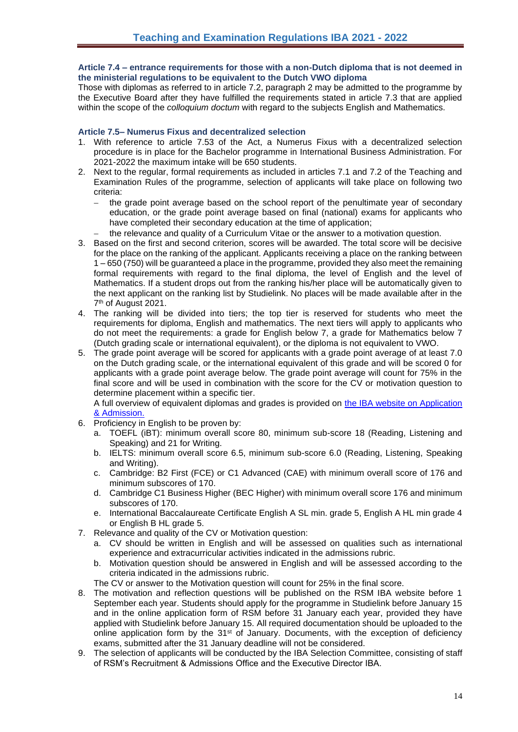### <span id="page-13-0"></span>**Article 7.4 – entrance requirements for those with a non-Dutch diploma that is not deemed in the ministerial regulations to be equivalent to the Dutch VWO diploma**

Those with diplomas as referred to in article 7.2, paragraph 2 may be admitted to the programme by the Executive Board after they have fulfilled the requirements stated in article 7.3 that are applied within the scope of the *colloquium doctum* with regard to the subjects English and Mathematics.

# <span id="page-13-1"></span>**Article 7.5– Numerus Fixus and decentralized selection**

- 1. With reference to article 7.53 of the Act, a Numerus Fixus with a decentralized selection procedure is in place for the Bachelor programme in International Business Administration. For 2021-2022 the maximum intake will be 650 students.
- 2. Next to the regular, formal requirements as included in articles 7.1 and 7.2 of the Teaching and Examination Rules of the programme, selection of applicants will take place on following two criteria:
	- the grade point average based on the school report of the penultimate year of secondary education, or the grade point average based on final (national) exams for applicants who have completed their secondary education at the time of application;
	- the relevance and quality of a Curriculum Vitae or the answer to a motivation question.
- 3. Based on the first and second criterion, scores will be awarded. The total score will be decisive for the place on the ranking of the applicant. Applicants receiving a place on the ranking between 1 – 650 (750) will be guaranteed a place in the programme, provided they also meet the remaining formal requirements with regard to the final diploma, the level of English and the level of Mathematics. If a student drops out from the ranking his/her place will be automatically given to the next applicant on the ranking list by Studielink. No places will be made available after in the 7<sup>th</sup> of August 2021.
- 4. The ranking will be divided into tiers; the top tier is reserved for students who meet the requirements for diploma, English and mathematics. The next tiers will apply to applicants who do not meet the requirements: a grade for English below 7, a grade for Mathematics below 7 (Dutch grading scale or international equivalent), or the diploma is not equivalent to VWO.
- 5. The grade point average will be scored for applicants with a grade point average of at least 7.0 on the Dutch grading scale, or the international equivalent of this grade and will be scored 0 for applicants with a grade point average below. The grade point average will count for 75% in the final score and will be used in combination with the score for the CV or motivation question to determine placement within a specific tier.

A full overview of equivalent diplomas and grades is provided on [the IBA website on Application](http://www.rsm.nl/bachelor/international-business-administration/admission-application/selection-criteria-per-diploma/)  [& Admission.](http://www.rsm.nl/bachelor/international-business-administration/admission-application/selection-criteria-per-diploma/)

- 6. Proficiency in English to be proven by:
	- a. TOEFL (iBT): minimum overall score 80, minimum sub-score 18 (Reading, Listening and Speaking) and 21 for Writing.
	- b. IELTS: minimum overall score 6.5, minimum sub-score 6.0 (Reading, Listening, Speaking and Writing).
	- c. Cambridge: B2 First (FCE) or C1 Advanced (CAE) with minimum overall score of 176 and minimum subscores of 170.
	- d. Cambridge C1 Business Higher (BEC Higher) with minimum overall score 176 and minimum subscores of 170.
	- e. International Baccalaureate Certificate English A SL min. grade 5, English A HL min grade 4 or English B HL grade 5.
- 7. Relevance and quality of the CV or Motivation question:
	- a. CV should be written in English and will be assessed on qualities such as international experience and extracurricular activities indicated in the admissions rubric.
	- b. Motivation question should be answered in English and will be assessed according to the criteria indicated in the admissions rubric.

The CV or answer to the Motivation question will count for 25% in the final score.

- 8. The motivation and reflection questions will be published on the RSM IBA website before 1 September each year. Students should apply for the programme in Studielink before January 15 and in the online application form of RSM before 31 January each year, provided they have applied with Studielink before January 15. All required documentation should be uploaded to the online application form by the  $31<sup>st</sup>$  of January. Documents, with the exception of deficiency exams, submitted after the 31 January deadline will not be considered.
- 9. The selection of applicants will be conducted by the IBA Selection Committee, consisting of staff of RSM's Recruitment & Admissions Office and the Executive Director IBA.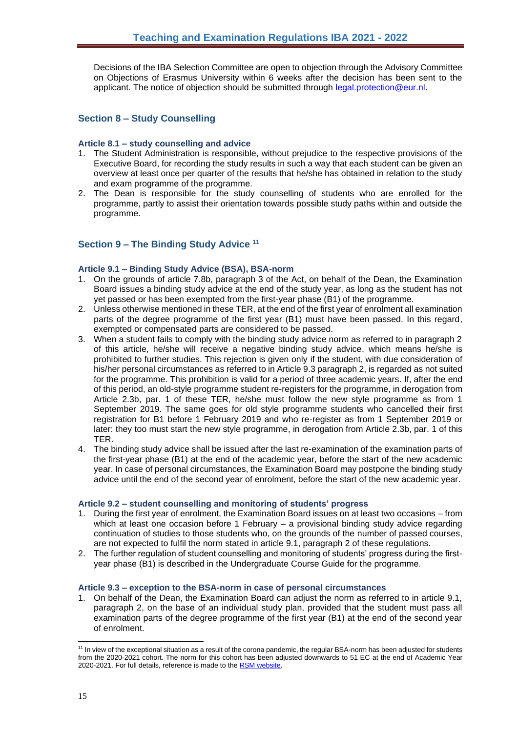Decisions of the IBA Selection Committee are open to objection through the Advisory Committee on Objections of Erasmus University within 6 weeks after the decision has been sent to the applicant. The notice of objection should be submitted through [legal.protection@eur.nl.](mailto:legal.protection@eur.nl)

# <span id="page-14-0"></span>**Section 8 – Study Counselling**

### <span id="page-14-1"></span>**Article 8.1 – study counselling and advice**

- 1. The Student Administration is responsible, without prejudice to the respective provisions of the Executive Board, for recording the study results in such a way that each student can be given an overview at least once per quarter of the results that he/she has obtained in relation to the study and exam programme of the programme.
- 2. The Dean is responsible for the study counselling of students who are enrolled for the programme, partly to assist their orientation towards possible study paths within and outside the programme.

# <span id="page-14-2"></span>**Section 9 – The Binding Study Advice <sup>11</sup>**

## <span id="page-14-3"></span>**Article 9.1 – Binding Study Advice (BSA), BSA-norm**

- 1. On the grounds of article 7.8b, paragraph 3 of the Act, on behalf of the Dean, the Examination Board issues a binding study advice at the end of the study year, as long as the student has not yet passed or has been exempted from the first-year phase (B1) of the programme.
- 2. Unless otherwise mentioned in these TER, at the end of the first year of enrolment all examination parts of the degree programme of the first year (B1) must have been passed. In this regard, exempted or compensated parts are considered to be passed.
- 3. When a student fails to comply with the binding study advice norm as referred to in paragraph 2 of this article, he/she will receive a negative binding study advice, which means he/she is prohibited to further studies. This rejection is given only if the student, with due consideration of his/her personal circumstances as referred to in Article 9.3 paragraph 2, is regarded as not suited for the programme. This prohibition is valid for a period of three academic years. If, after the end of this period, an old-style programme student re-registers for the programme, in derogation from Article 2.3b, par. 1 of these TER, he/she must follow the new style programme as from 1 September 2019. The same goes for old style programme students who cancelled their first registration for B1 before 1 February 2019 and who re-register as from 1 September 2019 or later: they too must start the new style programme, in derogation from Article 2.3b, par. 1 of this TER.
- 4. The binding study advice shall be issued after the last re-examination of the examination parts of the first-year phase (B1) at the end of the academic year, before the start of the new academic year. In case of personal circumstances, the Examination Board may postpone the binding study advice until the end of the second year of enrolment, before the start of the new academic year.

#### <span id="page-14-4"></span>**Article 9.2 – student counselling and monitoring of students' progress**

- 1. During the first year of enrolment, the Examination Board issues on at least two occasions from which at least one occasion before 1 February – a provisional binding study advice regarding continuation of studies to those students who, on the grounds of the number of passed courses, are not expected to fulfil the norm stated in article 9.1, paragraph 2 of these regulations.
- 2. The further regulation of student counselling and monitoring of students' progress during the firstyear phase (B1) is described in the Undergraduate Course Guide for the programme.

#### <span id="page-14-5"></span>**Article 9.3 – exception to the BSA-norm in case of personal circumstances**

1. On behalf of the Dean, the Examination Board can adjust the norm as referred to in article 9.1, paragraph 2, on the base of an individual study plan, provided that the student must pass all examination parts of the degree programme of the first year (B1) at the end of the second year of enrolment.

<sup>&</sup>lt;sup>11</sup> In view of the exceptional situation as a result of the corona pandemic, the regular BSA-norm has been adjusted for students from the 2020-2021 cohort. The norm for this cohort has been adjusted downwards to 51 EC at the end of Academic Year 2020-2021. For full details, reference is made to th[e RSM website.](https://www.rsm.nl/bachelor/current-students/bachelor-iba/bachelor-1/binding-study-advice/)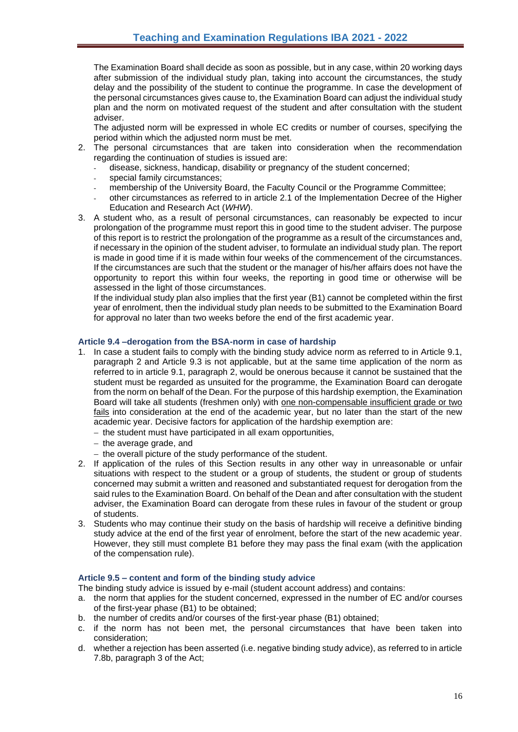The Examination Board shall decide as soon as possible, but in any case, within 20 working days after submission of the individual study plan, taking into account the circumstances, the study delay and the possibility of the student to continue the programme. In case the development of the personal circumstances gives cause to, the Examination Board can adjust the individual study plan and the norm on motivated request of the student and after consultation with the student adviser.

The adjusted norm will be expressed in whole EC credits or number of courses, specifying the period within which the adjusted norm must be met.

- 2. The personal circumstances that are taken into consideration when the recommendation regarding the continuation of studies is issued are:
	- disease, sickness, handicap, disability or pregnancy of the student concerned;
	- special family circumstances:
	- membership of the University Board, the Faculty Council or the Programme Committee;
	- other circumstances as referred to in article 2.1 of the Implementation Decree of the Higher Education and Research Act (*WHW*).
- 3. A student who, as a result of personal circumstances, can reasonably be expected to incur prolongation of the programme must report this in good time to the student adviser. The purpose of this report is to restrict the prolongation of the programme as a result of the circumstances and, if necessary in the opinion of the student adviser, to formulate an individual study plan. The report is made in good time if it is made within four weeks of the commencement of the circumstances. If the circumstances are such that the student or the manager of his/her affairs does not have the opportunity to report this within four weeks, the reporting in good time or otherwise will be assessed in the light of those circumstances.

If the individual study plan also implies that the first year (B1) cannot be completed within the first year of enrolment, then the individual study plan needs to be submitted to the Examination Board for approval no later than two weeks before the end of the first academic year.

# <span id="page-15-0"></span>**Article 9.4 –derogation from the BSA-norm in case of hardship**

- 1. In case a student fails to comply with the binding study advice norm as referred to in Article 9.1, paragraph 2 and Article 9.3 is not applicable, but at the same time application of the norm as referred to in article 9.1, paragraph 2, would be onerous because it cannot be sustained that the student must be regarded as unsuited for the programme, the Examination Board can derogate from the norm on behalf of the Dean. For the purpose of this hardship exemption, the Examination Board will take all students (freshmen only) with one non-compensable insufficient grade or two fails into consideration at the end of the academic year, but no later than the start of the new academic year. Decisive factors for application of the hardship exemption are:
	- − the student must have participated in all exam opportunities,
	- − the average grade, and
	- − the overall picture of the study performance of the student.
- 2. If application of the rules of this Section results in any other way in unreasonable or unfair situations with respect to the student or a group of students, the student or group of students concerned may submit a written and reasoned and substantiated request for derogation from the said rules to the Examination Board. On behalf of the Dean and after consultation with the student adviser, the Examination Board can derogate from these rules in favour of the student or group of students.
- 3. Students who may continue their study on the basis of hardship will receive a definitive binding study advice at the end of the first year of enrolment, before the start of the new academic year. However, they still must complete B1 before they may pass the final exam (with the application of the compensation rule).

## <span id="page-15-1"></span>**Article 9.5 – content and form of the binding study advice**

The binding study advice is issued by e-mail (student account address) and contains:

- a. the norm that applies for the student concerned, expressed in the number of EC and/or courses of the first-year phase (B1) to be obtained;
- b. the number of credits and/or courses of the first-year phase (B1) obtained;
- c. if the norm has not been met, the personal circumstances that have been taken into consideration;
- d. whether a rejection has been asserted (i.e. negative binding study advice), as referred to in article 7.8b, paragraph 3 of the Act;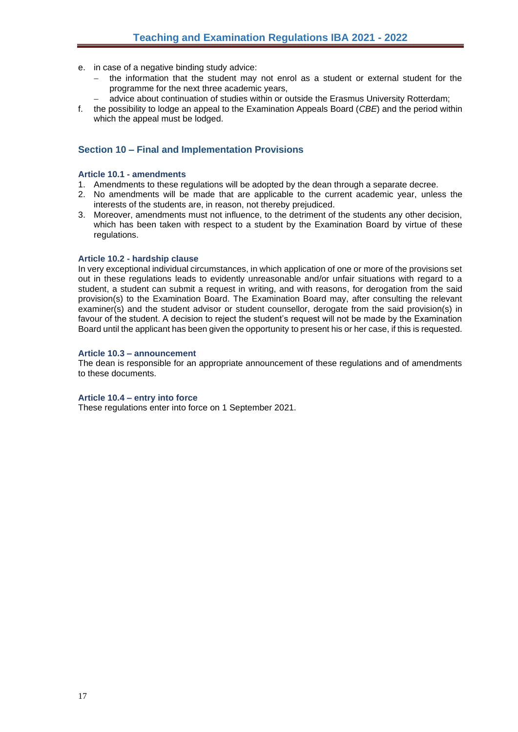- e. in case of a negative binding study advice:
	- the information that the student may not enrol as a student or external student for the programme for the next three academic years,
	- − advice about continuation of studies within or outside the Erasmus University Rotterdam;
- f. the possibility to lodge an appeal to the Examination Appeals Board (*CBE*) and the period within which the appeal must be lodged.

# <span id="page-16-0"></span>**Section 10 – Final and Implementation Provisions**

#### <span id="page-16-1"></span>**Article 10.1 - amendments**

- 1. Amendments to these regulations will be adopted by the dean through a separate decree.
- 2. No amendments will be made that are applicable to the current academic year, unless the interests of the students are, in reason, not thereby prejudiced.
- 3. Moreover, amendments must not influence, to the detriment of the students any other decision, which has been taken with respect to a student by the Examination Board by virtue of these regulations.

#### <span id="page-16-2"></span>**Article 10.2 - hardship clause**

In very exceptional individual circumstances, in which application of one or more of the provisions set out in these regulations leads to evidently unreasonable and/or unfair situations with regard to a student, a student can submit a request in writing, and with reasons, for derogation from the said provision(s) to the Examination Board. The Examination Board may, after consulting the relevant examiner(s) and the student advisor or student counsellor, derogate from the said provision(s) in favour of the student. A decision to reject the student's request will not be made by the Examination Board until the applicant has been given the opportunity to present his or her case, if this is requested.

#### <span id="page-16-3"></span>**Article 10.3 – announcement**

The dean is responsible for an appropriate announcement of these regulations and of amendments to these documents.

#### <span id="page-16-4"></span>**Article 10.4 – entry into force**

These regulations enter into force on 1 September 2021.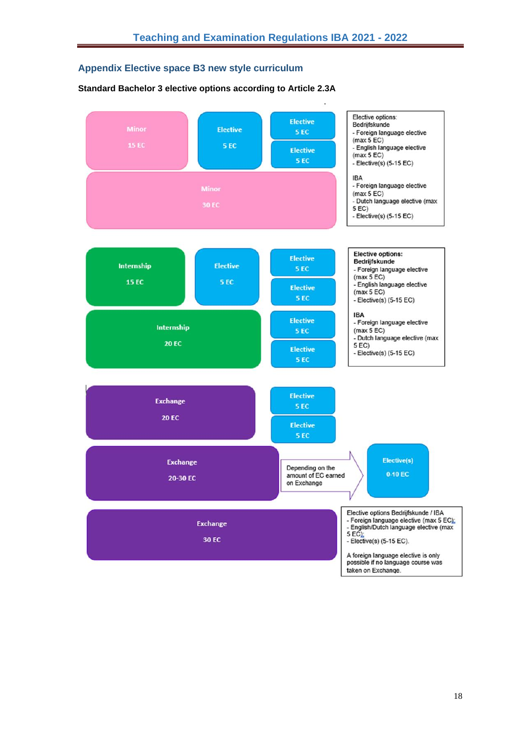# <span id="page-17-0"></span>**Appendix Elective space B3 new style curriculum**

## **Standard Bachelor 3 elective options according to Article 2.3A**

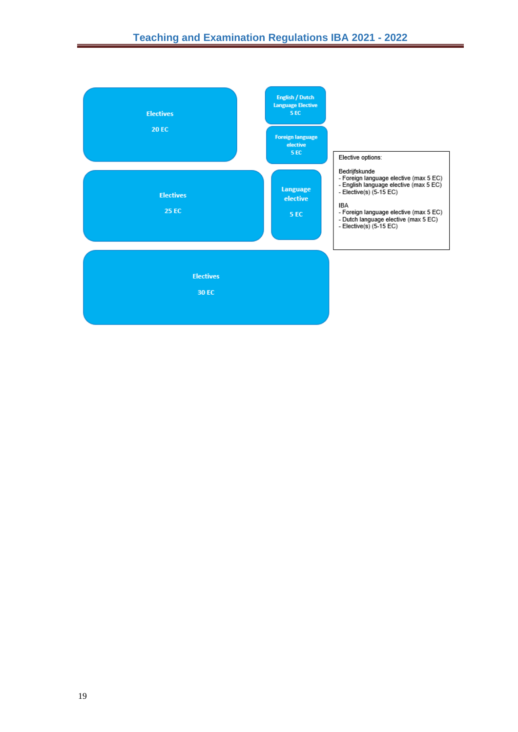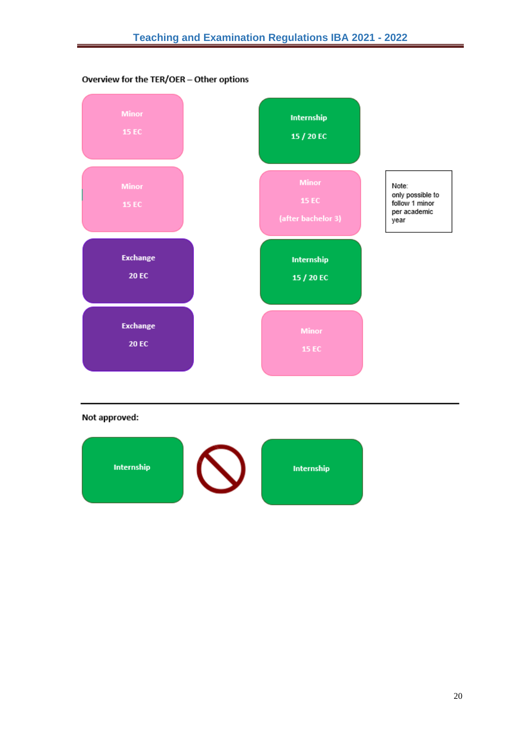



# Not approved:

![](_page_19_Picture_4.jpeg)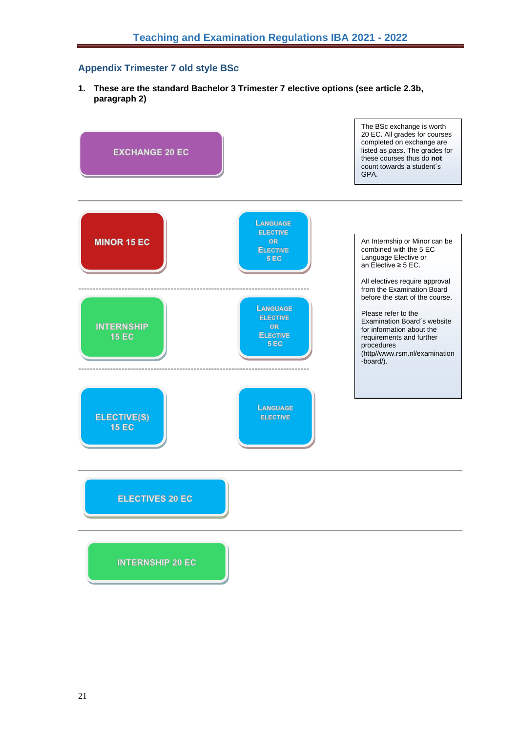# <span id="page-20-0"></span>**Appendix Trimester 7 old style BSc**

**1. These are the standard Bachelor 3 Trimester 7 elective options (see article 2.3b, paragraph 2)**

![](_page_20_Figure_3.jpeg)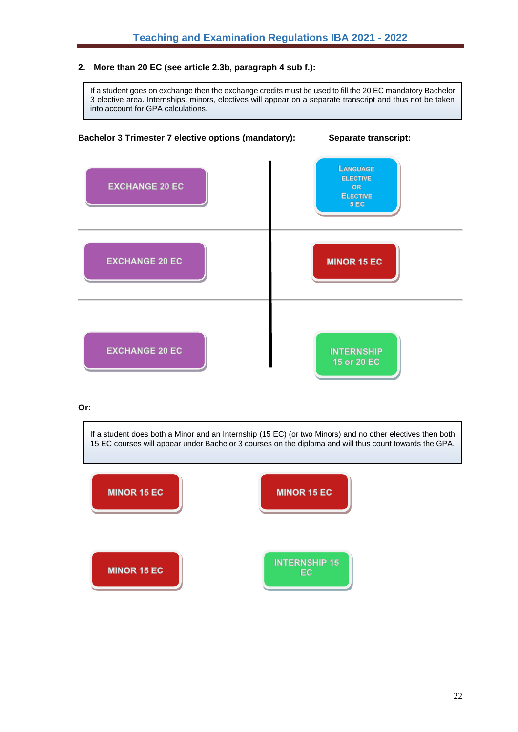# **2. More than 20 EC (see article 2.3b, paragraph 4 sub f.):**

If a student goes on exchange then the exchange credits must be used to fill the 20 EC mandatory Bachelor 3 elective area. Internships, minors, electives will appear on a separate transcript and thus not be taken into account for GPA calculations.

![](_page_21_Figure_3.jpeg)

#### **Or:**

If a student does both a Minor and an Internship (15 EC) (or two Minors) and no other electives then both 15 EC courses will appear under Bachelor 3 courses on the diploma and will thus count towards the GPA.

![](_page_21_Figure_6.jpeg)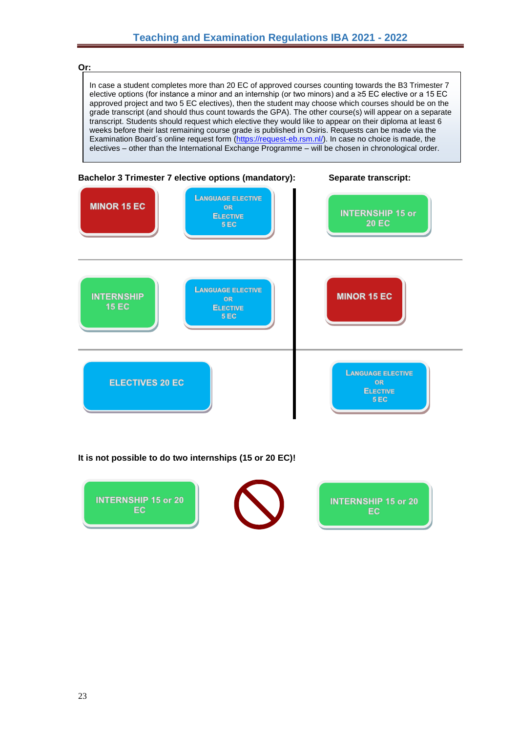**Or:**

In case a student completes more than 20 EC of approved courses counting towards the B3 Trimester 7 elective options (for instance a minor and an internship (or two minors) and a ≥5 EC elective or a 15 EC approved project and two 5 EC electives), then the student may choose which courses should be on the grade transcript (and should thus count towards the GPA). The other course(s) will appear on a separate transcript. Students should request which elective they would like to appear on their diploma at least 6 weeks before their last remaining course grade is published in Osiris. Requests can be made via the Examination Board´s online request form [\(https://request-eb.rsm.nl/\)](https://request-eb.rsm.nl/). In case no choice is made, the electives – other than the International Exchange Programme – will be chosen in chronological order.

![](_page_22_Figure_3.jpeg)

# **It is not possible to do two internships (15 or 20 EC)!**

![](_page_22_Picture_5.jpeg)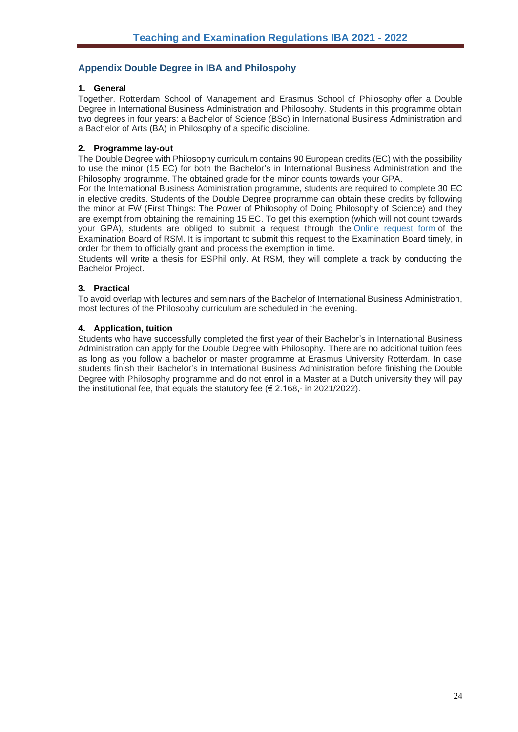# <span id="page-23-0"></span>**Appendix Double Degree in IBA and Philospohy**

# **1. General**

Together, Rotterdam School of Management and Erasmus School of Philosophy offer a Double Degree in International Business Administration and Philosophy. Students in this programme obtain two degrees in four years: a Bachelor of Science (BSc) in International Business Administration and a Bachelor of Arts (BA) in Philosophy of a specific discipline.

# **2. Programme lay-out**

The Double Degree with Philosophy curriculum contains 90 European credits (EC) with the possibility to use the minor (15 EC) for both the Bachelor's in International Business Administration and the Philosophy programme. The obtained grade for the minor counts towards your GPA.

For the International Business Administration programme, students are required to complete 30 EC in elective credits. Students of the Double Degree programme can obtain these credits by following the minor at FW (First Things: The Power of Philosophy of Doing Philosophy of Science) and they are exempt from obtaining the remaining 15 EC. To get this exemption (which will not count towards your GPA), students are obliged to submit a request through the [Online request form](https://verzoek-ec.rsm.nl/) of the Examination Board of RSM. It is important to submit this request to the Examination Board timely, in order for them to officially grant and process the exemption in time.

Students will write a thesis for ESPhil only. At RSM, they will complete a track by conducting the Bachelor Project.

# **3. Practical**

To avoid overlap with lectures and seminars of the Bachelor of International Business Administration, most lectures of the Philosophy curriculum are scheduled in the evening.

# **4. Application, tuition**

Students who have successfully completed the first year of their Bachelor's in International Business Administration can apply for the Double Degree with Philosophy. There are no additional tuition fees as long as you follow a bachelor or master programme at Erasmus University Rotterdam. In case students finish their Bachelor's in International Business Administration before finishing the Double Degree with Philosophy programme and do not enrol in a Master at a Dutch university they will pay the institutional fee, that equals the statutory fee ( $\epsilon$  2.168,- in 2021/2022).